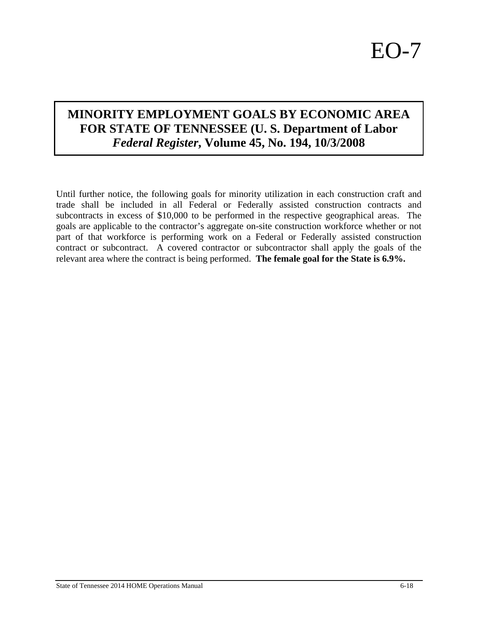## **MINORITY EMPLOYMENT GOALS BY ECONOMIC AREA FOR STATE OF TENNESSEE (U. S. Department of Labor**  *Federal Register***, Volume 45, No. 194, 10/3/2008**

Until further notice, the following goals for minority utilization in each construction craft and trade shall be included in all Federal or Federally assisted construction contracts and subcontracts in excess of \$10,000 to be performed in the respective geographical areas. The goals are applicable to the contractor's aggregate on-site construction workforce whether or not part of that workforce is performing work on a Federal or Federally assisted construction contract or subcontract. A covered contractor or subcontractor shall apply the goals of the relevant area where the contract is being performed. **The female goal for the State is 6.9%.**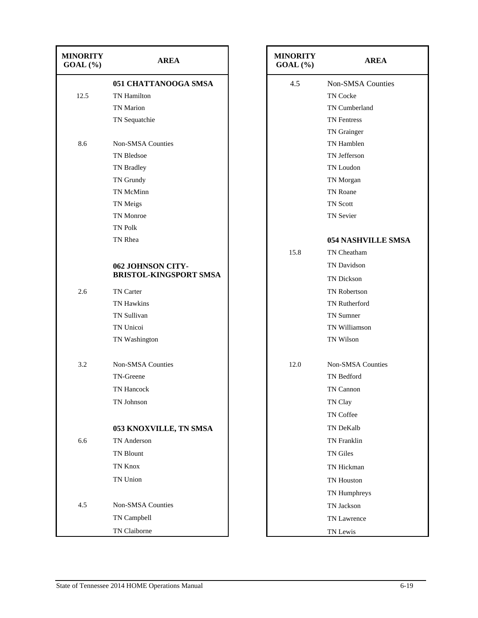| <b>MINORITY</b><br>$GOAL(\%)$ | <b>AREA</b>                   | <b>MINORITY</b><br>$GOAL(\%)$ | <b>AREA</b>               |
|-------------------------------|-------------------------------|-------------------------------|---------------------------|
|                               | 051 CHATTANOOGA SMSA          | 4.5                           | <b>Non-SMSA Counties</b>  |
| 12.5                          | TN Hamilton                   |                               | TN Cocke                  |
|                               | <b>TN</b> Marion              |                               | TN Cumberland             |
|                               | TN Sequatchie                 |                               | <b>TN</b> Fentress        |
|                               |                               |                               | TN Grainger               |
| 8.6                           | <b>Non-SMSA Counties</b>      |                               | TN Hamblen                |
|                               | TN Bledsoe                    |                               | TN Jefferson              |
|                               | TN Bradley                    |                               | TN Loudon                 |
|                               | TN Grundy                     |                               | TN Morgan                 |
|                               | TN McMinn                     |                               | TN Roane                  |
|                               | TN Meigs                      |                               | TN Scott                  |
|                               | TN Monroe                     |                               | <b>TN Sevier</b>          |
|                               | <b>TN Polk</b>                |                               |                           |
|                               | TN Rhea                       |                               | <b>054 NASHVILLE SMSA</b> |
|                               |                               | 15.8                          | TN Cheatham               |
|                               | 062 JOHNSON CITY-             |                               | TN Davidson               |
|                               | <b>BRISTOL-KINGSPORT SMSA</b> |                               | TN Dickson                |
| 2.6                           | TN Carter                     |                               | TN Robertson              |
|                               | <b>TN Hawkins</b>             |                               | TN Rutherford             |
|                               | TN Sullivan                   |                               | TN Sumner                 |
|                               | TN Unicoi                     |                               | TN Williamson             |
|                               | TN Washington                 |                               | TN Wilson                 |
| 3.2                           | Non-SMSA Counties             | 12.0                          | <b>Non-SMSA Counties</b>  |
|                               | TN-Greene                     |                               | TN Bedford                |
|                               | TN Hancock                    |                               | TN Cannon                 |
|                               | TN Johnson                    |                               | TN Clay                   |
|                               |                               |                               | TN Coffee                 |
|                               | 053 KNOXVILLE, TN SMSA        |                               | TN DeKalb                 |
| 6.6                           | TN Anderson                   |                               | TN Franklin               |
|                               | TN Blount                     |                               | TN Giles                  |
|                               | TN Knox                       |                               | TN Hickman                |
|                               | TN Union                      |                               | TN Houston                |
|                               |                               |                               | TN Humphreys              |
| 4.5                           | <b>Non-SMSA Counties</b>      |                               | TN Jackson                |
|                               | TN Campbell                   |                               |                           |
|                               |                               |                               | TN Lawrence               |
|                               | TN Claiborne                  |                               | TN Lewis                  |

| <b>MINORITY</b><br>$GOAL(\%)$ | <b>AREA</b>               |
|-------------------------------|---------------------------|
| 4.5                           | <b>Non-SMSA Counties</b>  |
|                               | <b>TN Cocke</b>           |
|                               | TN Cumberland             |
|                               | <b>TN</b> Fentress        |
|                               | TN Grainger               |
|                               | TN Hamblen                |
|                               | TN Jefferson              |
|                               | TN Loudon                 |
|                               | TN Morgan                 |
|                               | <b>TN Roane</b>           |
|                               | <b>TN Scott</b>           |
|                               | <b>TN Sevier</b>          |
|                               | <b>054 NASHVILLE SMSA</b> |
| 15.8                          | TN Cheatham               |
|                               | TN Davidson               |
|                               | <b>TN Dickson</b>         |
|                               | <b>TN Robertson</b>       |
|                               | <b>TN Rutherford</b>      |
|                               | <b>TN</b> Sumner          |
|                               | TN Williamson             |
|                               | <b>TN Wilson</b>          |
| 12.0                          | <b>Non-SMSA Counties</b>  |
|                               | <b>TN</b> Bedford         |
|                               | TN Cannon                 |
|                               | TN Clay                   |
|                               | <b>TN Coffee</b>          |
|                               | <b>TN DeKalb</b>          |
|                               | <b>TN</b> Franklin        |
|                               | <b>TN Giles</b>           |
|                               | TN Hickman                |
|                               | TN Houston                |
|                               | TN Humphreys              |
|                               | TN Jackson                |
|                               | <b>TN Lawrence</b>        |
|                               | TN Lewis                  |